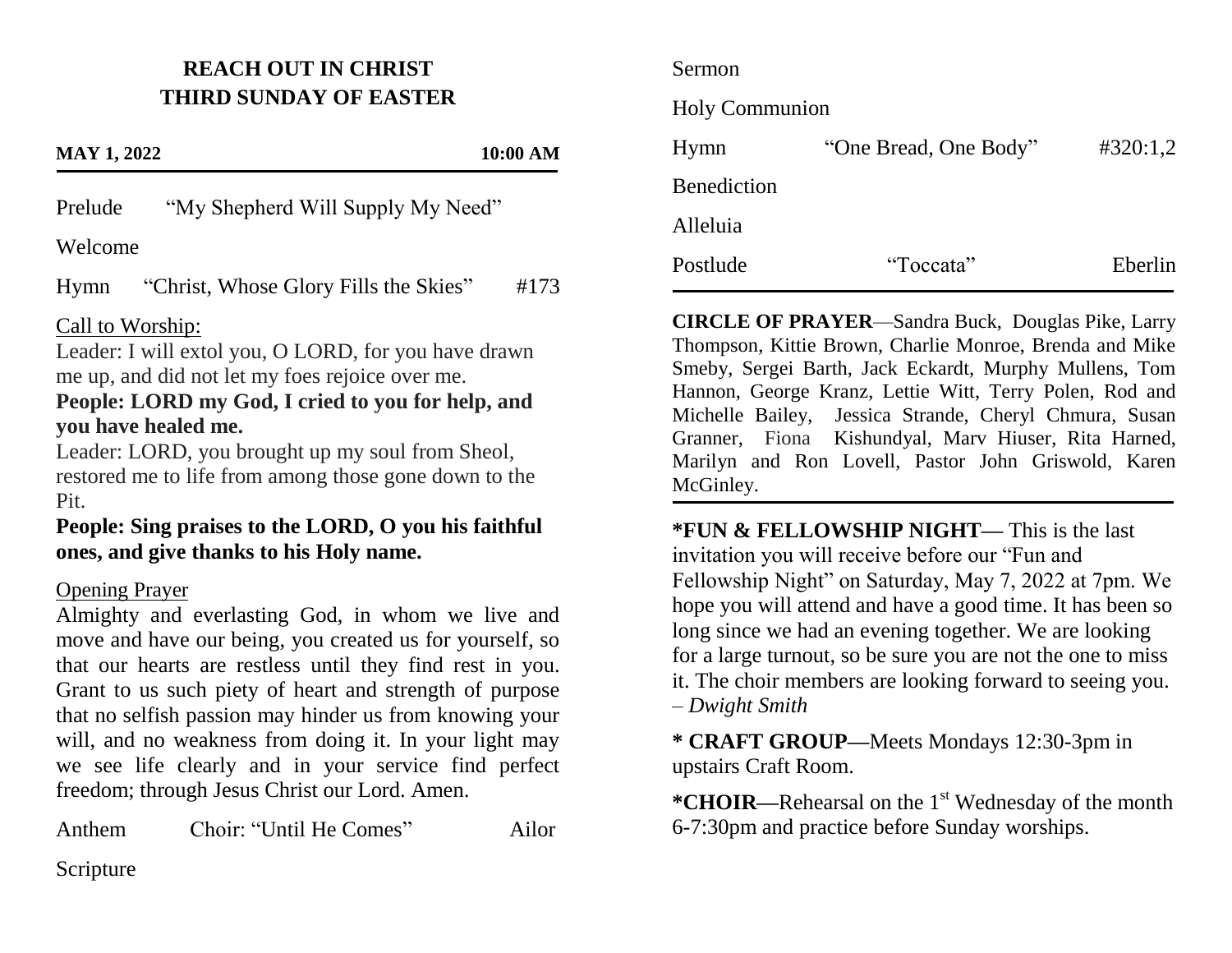## **REACH OUT IN CHRIST THIRD SUNDAY OF EASTER**

#### **MAY 1, 2022 10:00 AM**

Prelude "My Shepherd Will Supply My Need"

#### Welcome

Hymn "Christ, Whose Glory Fills the Skies" #173

#### Call to Worship:

Leader: I will extol you, O LORD, for you have drawn me up, and did not let my foes rejoice over me.

## **People: LORD my God, I cried to you for help, and you have healed me.**

Leader: LORD, you brought up my soul from Sheol, restored me to life from among those gone down to the Pit.

## **People: Sing praises to the LORD, O you his faithful ones, and give thanks to his Holy name.**

#### Opening Prayer

Almighty and everlasting God, in whom we live and move and have our being, you created us for yourself, so that our hearts are restless until they find rest in you. Grant to us such piety of heart and strength of purpose that no selfish passion may hinder us from knowing your will, and no weakness from doing it. In your light may we see life clearly and in your service find perfect freedom; through Jesus Christ our Lord. Amen.

Anthem Choir: "Until He Comes" Ailor

# Sermon Holy Communion Hymn "One Bread, One Body" #320:1,2 Benediction Alleluia Postlude "Toccata" Eberlin

**CIRCLE OF PRAYER**—Sandra Buck, Douglas Pike, Larry Thompson, Kittie Brown, Charlie Monroe, Brenda and Mike Smeby, Sergei Barth, Jack Eckardt, Murphy Mullens, Tom Hannon, George Kranz, Lettie Witt, Terry Polen, Rod and Michelle Bailey, Jessica Strande, Cheryl Chmura, Susan Granner, Fiona Kishundyal, Marv Hiuser, Rita Harned, Marilyn and Ron Lovell, Pastor John Griswold, Karen McGinley.

**\*FUN & FELLOWSHIP NIGHT—** This is the last invitation you will receive before our "Fun and Fellowship Night" on Saturday, May 7, 2022 at 7pm. We hope you will attend and have a good time. It has been so long since we had an evening together. We are looking for a large turnout, so be sure you are not the one to miss it. The choir members are looking forward to seeing you*. – Dwight Smith*

**\* CRAFT GROUP—**Meets Mondays 12:30-3pm in upstairs Craft Room.

\***CHOIR—**Rehearsal on the 1<sup>st</sup> Wednesday of the month 6-7:30pm and practice before Sunday worships.

## Scripture